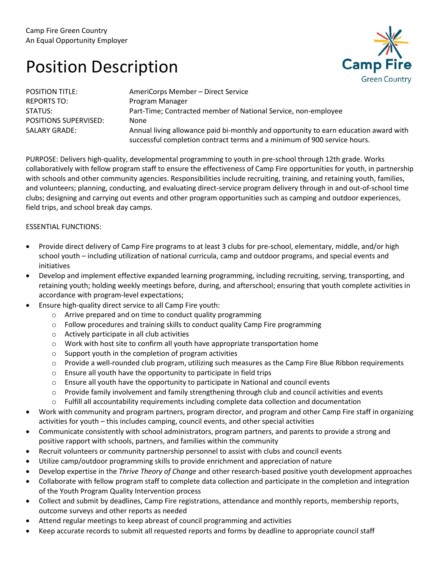## Position Description



| <b>POSITION TITLE:</b>       | AmeriCorps Member - Direct Service                                                   |
|------------------------------|--------------------------------------------------------------------------------------|
| <b>REPORTS TO:</b>           | Program Manager                                                                      |
| STATUS:                      | Part-Time; Contracted member of National Service, non-employee                       |
| <b>POSITIONS SUPERVISED:</b> | None                                                                                 |
| <b>SALARY GRADE:</b>         | Annual living allowance paid bi-monthly and opportunity to earn education award with |
|                              | successful completion contract terms and a minimum of 900 service hours.             |

PURPOSE: Delivers high-quality, developmental programming to youth in pre-school through 12th grade. Works collaboratively with fellow program staff to ensure the effectiveness of Camp Fire opportunities for youth, in partnership with schools and other community agencies. Responsibilities include recruiting, training, and retaining youth, families, and volunteers; planning, conducting, and evaluating direct-service program delivery through in and out-of-school time clubs; designing and carrying out events and other program opportunities such as camping and outdoor experiences, field trips, and school break day camps.

## ESSENTIAL FUNCTIONS:

- Provide direct delivery of Camp Fire programs to at least 3 clubs for pre-school, elementary, middle, and/or high school youth – including utilization of national curricula, camp and outdoor programs, and special events and initiatives
- Develop and implement effective expanded learning programming, including recruiting, serving, transporting, and retaining youth; holding weekly meetings before, during, and afterschool; ensuring that youth complete activities in accordance with program-level expectations;
- Ensure high-quality direct service to all Camp Fire youth:
	- o Arrive prepared and on time to conduct quality programming
	- $\circ$  Follow procedures and training skills to conduct quality Camp Fire programming
	- o Actively participate in all club activities
	- o Work with host site to confirm all youth have appropriate transportation home
	- o Support youth in the completion of program activities
	- o Provide a well-rounded club program, utilizing such measures as the Camp Fire Blue Ribbon requirements
	- $\circ$  Ensure all youth have the opportunity to participate in field trips
	- $\circ$  Ensure all youth have the opportunity to participate in National and council events
	- $\circ$  Provide family involvement and family strengthening through club and council activities and events
	- $\circ$  Fulfill all accountability requirements including complete data collection and documentation
- Work with community and program partners, program director, and program and other Camp Fire staff in organizing activities for youth – this includes camping, council events, and other special activities
- Communicate consistently with school administrators, program partners, and parents to provide a strong and positive rapport with schools, partners, and families within the community
- Recruit volunteers or community partnership personnel to assist with clubs and council events
- Utilize camp/outdoor programming skills to provide enrichment and appreciation of nature
- Develop expertise in the *Thrive Theory of Change* and other research-based positive youth development approaches
- Collaborate with fellow program staff to complete data collection and participate in the completion and integration of the Youth Program Quality Intervention process
- Collect and submit by deadlines, Camp Fire registrations, attendance and monthly reports, membership reports, outcome surveys and other reports as needed
- Attend regular meetings to keep abreast of council programming and activities
- Keep accurate records to submit all requested reports and forms by deadline to appropriate council staff